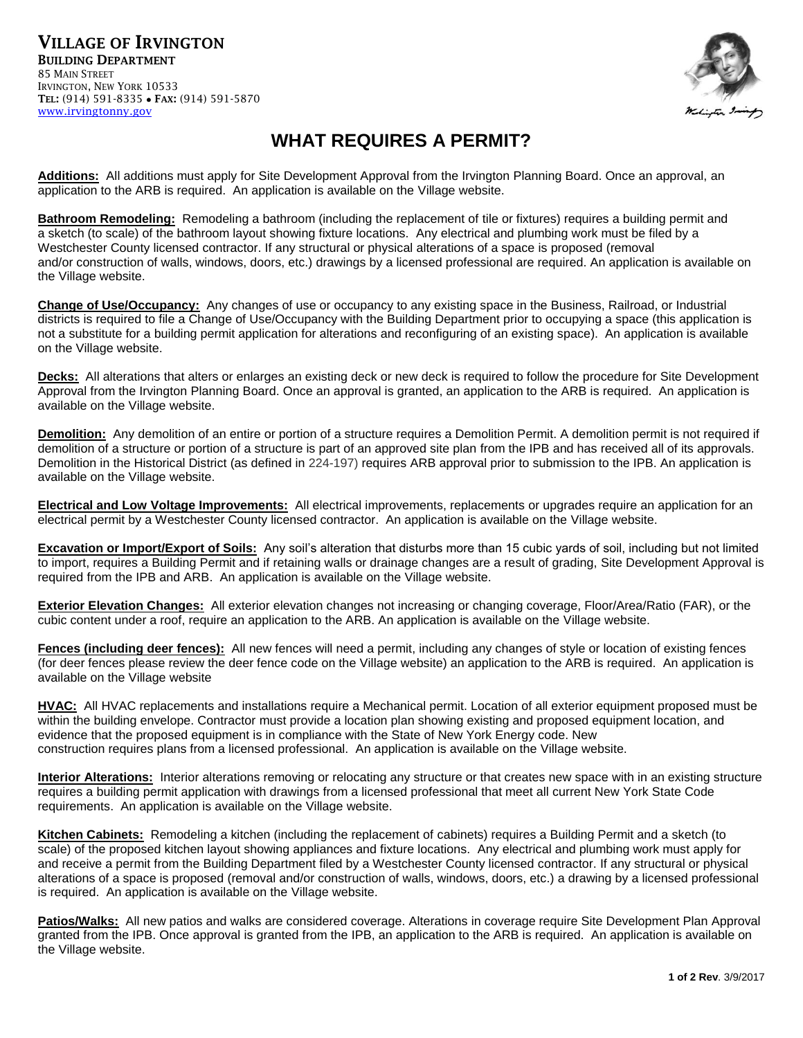VILLAGE OF IRVINGTON BUILDING DEPARTMENT 85 MAIN STREET IRVINGTON, NEW YORK 10533 TEL: (914) 591-8335 FAX: (914) 591-5870 [www.irvingtonny.gov](http://www.irvingtonny.gov/)



## **WHAT REQUIRES A PERMIT?**

**Additions:** All additions must apply for Site Development Approval from the Irvington Planning Board. Once an approval, an application to the ARB is required. An application is available on the Village website.

**Bathroom Remodeling:** Remodeling a bathroom (including the replacement of tile or fixtures) requires a building permit and a sketch (to scale) of the bathroom layout showing fixture locations. Any electrical and plumbing work must be filed by a Westchester County licensed contractor. If any structural or physical alterations of a space is proposed (removal and/or construction of walls, windows, doors, etc.) drawings by a licensed professional are required. An application is available on the Village website.

**Change of Use/Occupancy:** Any changes of use or occupancy to any existing space in the Business, Railroad, or Industrial districts is required to file a Change of Use/Occupancy with the Building Department prior to occupying a space (this application is not a substitute for a building permit application for alterations and reconfiguring of an existing space). An application is available on the Village website.

**Decks:** All alterations that alters or enlarges an existing deck or new deck is required to follow the procedure for Site Development Approval from the Irvington Planning Board. Once an approval is granted, an application to the ARB is required. An application is available on the Village website.

**Demolition:** Any demolition of an entire or portion of a structure requires a Demolition Permit. A demolition permit is not required if demolition of a structure or portion of a structure is part of an approved site plan from the IPB and has received all of its approvals. Demolition in the Historical District (as defined in [224-197\)](http://ecode360.com/30097168#30097168) requires ARB approval prior to submission to the IPB. An application is available on the Village website.

**Electrical and Low Voltage Improvements:** All electrical improvements, replacements or upgrades require an application for an electrical permit by a Westchester County licensed contractor. An application is available on the Village website.

**Excavation or Import/Export of Soils:** Any soil's alteration that disturbs more than 15 cubic yards of soil, including but not limited to import, requires a Building Permit and if retaining walls or drainage changes are a result of grading, Site Development Approval is required from the IPB and ARB. An application is available on the Village website.

**Exterior Elevation Changes:** All exterior elevation changes not increasing or changing coverage, Floor/Area/Ratio (FAR), or the cubic content under a roof, require an application to the ARB. An application is available on the Village website.

**Fences (including deer fences):** All new fences will need a permit, including any changes of style or location of existing fences (for deer fences please review the deer fence code on the Village website) an application to the ARB is required. An application is available on the Village website

**HVAC:** All HVAC replacements and installations require a Mechanical permit. Location of all exterior equipment proposed must be within the building envelope. Contractor must provide a location plan showing existing and proposed equipment location, and evidence that the proposed equipment is in compliance with the State of New York Energy code. New construction requires plans from a licensed professional. An application is available on the Village website.

**Interior Alterations:** Interior alterations removing or relocating any structure or that creates new space with in an existing structure requires a building permit application with drawings from a licensed professional that meet all current New York State Code requirements. An application is available on the Village website.

**Kitchen Cabinets:** Remodeling a kitchen (including the replacement of cabinets) requires a Building Permit and a sketch (to scale) of the proposed kitchen layout showing appliances and fixture locations. Any electrical and plumbing work must apply for and receive a permit from the Building Department filed by a Westchester County licensed contractor. If any structural or physical alterations of a space is proposed (removal and/or construction of walls, windows, doors, etc.) a drawing by a licensed professional is required. An application is available on the Village website.

**Patios/Walks:** All new patios and walks are considered coverage. Alterations in coverage require Site Development Plan Approval granted from the IPB. Once approval is granted from the IPB, an application to the ARB is required. An application is available on the Village website.